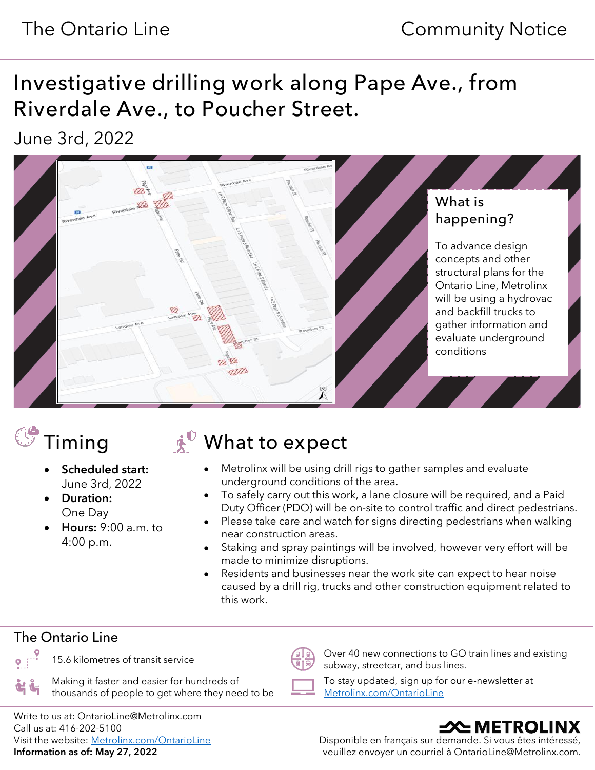# Investigative drilling work along Pape Ave., from Riverdale Ave., to Poucher Street.

June 3rd, 2022



- Scheduled start: June 3rd, 2022
- Duration: One Day
- Hours: 9:00 a.m. to 4:00 p.m.

# $\mathbb{C}^{\bullet}$  Timing  $\mathbb{R}^{\mathbb{C}}$  What to expect

- Metrolinx will be using drill rigs to gather samples and evaluate underground conditions of the area.
- To safely carry out this work, a lane closure will be required, and a Paid Duty Officer (PDO) will be on-site to control traffic and direct pedestrians.
- Please take care and watch for signs directing pedestrians when walking near construction areas.
- Staking and spray paintings will be involved, however very effort will be made to minimize disruptions.
- Residents and businesses near the work site can expect to hear noise caused by a drill rig, trucks and other construction equipment related to this work.

### The Ontario Line

15.6 kilometres of transit service  $\sqrt{\frac{p}{p+Q}}$  Over 40 new connections to GO train lines and existing subway, streetcar, and bus lines.

Making it faster and easier for hundreds of thousands of people to get where they need to be

To stay updated, sign up for our e-newsletter at [Metrolinx.com/OntarioLine](http://metrolinx.com/ontarioline)

Write to us at: OntarioLine@Metrolinx.com Call us at: 416-202-5100 Visit the website: [Metrolinx.com/OntarioLine](http://metrolinx.com/ontarioline) Information as of: May 27, 2022

# –XNETROLINX

Disponible en français sur demande. Si vous êtes intéressé, veuillez envoyer un courriel à OntarioLine@Metrolinx.com.